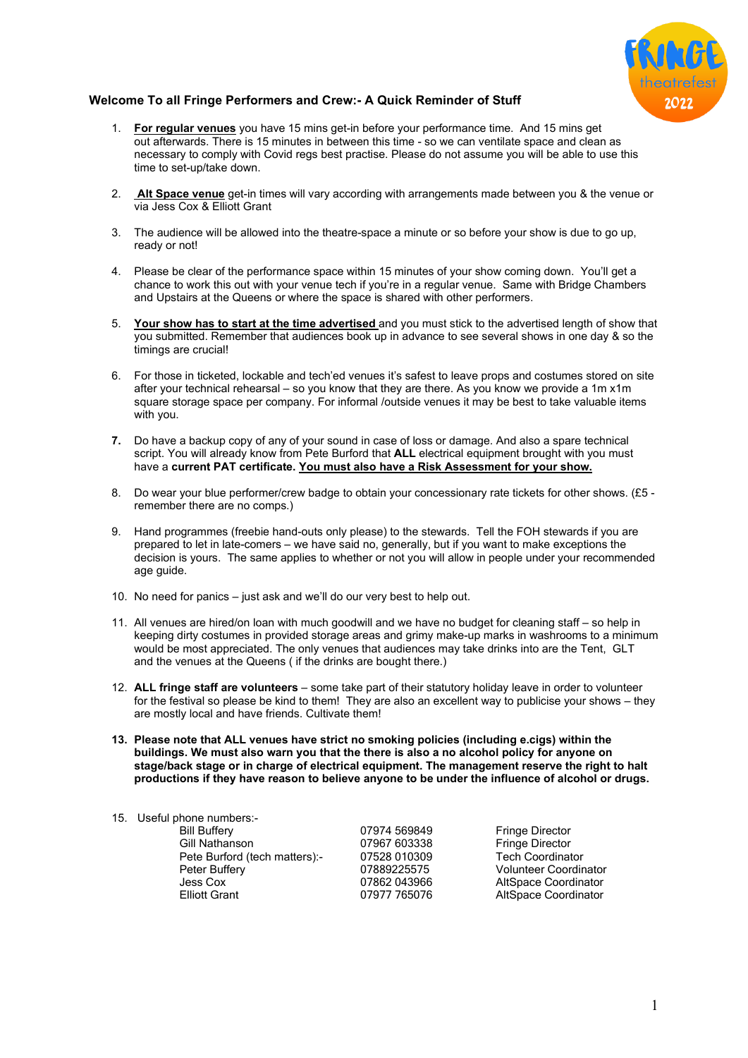

# **Welcome To all Fringe Performers and Crew:- A Quick Reminder of Stuff**

- 1. **For regular venues** you have 15 mins get-in before your performance time. And 15 mins get out afterwards. There is 15 minutes in between this time - so we can ventilate space and clean as necessary to comply with Covid regs best practise. Please do not assume you will be able to use this time to set-up/take down.
- 2. **Alt Space venue** get-in times will vary according with arrangements made between you & the venue or via Jess Cox & Elliott Grant
- 3. The audience will be allowed into the theatre-space a minute or so before your show is due to go up, ready or not!
- 4. Please be clear of the performance space within 15 minutes of your show coming down. You'll get a chance to work this out with your venue tech if you're in a regular venue. Same with Bridge Chambers and Upstairs at the Queens or where the space is shared with other performers.
- 5. **Your show has to start at the time advertised** and you must stick to the advertised length of show that you submitted. Remember that audiences book up in advance to see several shows in one day & so the timings are crucial!
- 6. For those in ticketed, lockable and tech'ed venues it's safest to leave props and costumes stored on site after your technical rehearsal – so you know that they are there. As you know we provide a 1m x1m square storage space per company. For informal /outside venues it may be best to take valuable items with you.
- **7.** Do have a backup copy of any of your sound in case of loss or damage. And also a spare technical script. You will already know from Pete Burford that **ALL** electrical equipment brought with you must have a **current PAT certificate. You must also have a Risk Assessment for your show.**
- 8. Do wear your blue performer/crew badge to obtain your concessionary rate tickets for other shows. (£5 remember there are no comps.)
- 9. Hand programmes (freebie hand-outs only please) to the stewards. Tell the FOH stewards if you are prepared to let in late-comers – we have said no, generally, but if you want to make exceptions the decision is yours. The same applies to whether or not you will allow in people under your recommended age guide.
- 10. No need for panics just ask and we'll do our very best to help out.
- 11. All venues are hired/on loan with much goodwill and we have no budget for cleaning staff so help in keeping dirty costumes in provided storage areas and grimy make-up marks in washrooms to a minimum would be most appreciated. The only venues that audiences may take drinks into are the Tent, GLT and the venues at the Queens ( if the drinks are bought there.)
- 12. **ALL fringe staff are volunteers** some take part of their statutory holiday leave in order to volunteer for the festival so please be kind to them! They are also an excellent way to publicise your shows – they are mostly local and have friends. Cultivate them!
- **13. Please note that ALL venues have strict no smoking policies (including e.cigs) within the buildings. We must also warn you that the there is also a no alcohol policy for anyone on stage/back stage or in charge of electrical equipment. The management reserve the right to halt productions if they have reason to believe anyone to be under the influence of alcohol or drugs.**

| 07974 569849 | <b>Fringe Director</b>       |
|--------------|------------------------------|
| 07967 603338 | <b>Fringe Director</b>       |
| 07528 010309 | <b>Tech Coordinator</b>      |
| 07889225575  | <b>Volunteer Coordinator</b> |
| 07862043966  | <b>AltSpace Coordinator</b>  |
| 07977 765076 | AltSpace Coordinator         |
|              |                              |